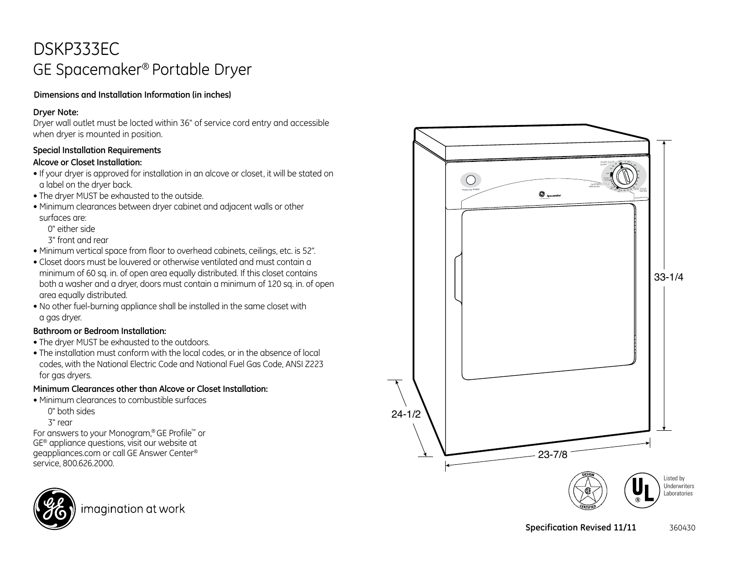# DSKP333EC GE Spacemaker® Portable Dryer

### **Dimensions and Installation Information (in inches)**

#### **Dryer Note:**

Dryer wall outlet must be locted within 36" of service cord entry and accessible when dryer is mounted in position.

### **Special Installation Requirements**

### **Alcove or Closet Installation:**

- If your dryer is approved for installation in an alcove or closet, it will be stated on a label on the dryer back.
- The dryer MUST be exhausted to the outside.
- Minimum clearances between dryer cabinet and adjacent walls or other surfaces are:
	- 0" either side

3" front and rear

- Minimum vertical space from floor to overhead cabinets, ceilings, etc. is 52".
- Closet doors must be louvered or otherwise ventilated and must contain a minimum of 60 sq. in. of open area equally distributed. If this closet contains both a washer and a dryer, doors must contain a minimum of 120 sq. in. of open area equally distributed.
- No other fuel-burning appliance shall be installed in the same closet with a gas dryer.

### **Bathroom or Bedroom Installation:**

- The dryer MUST be exhausted to the outdoors.
- The installation must conform with the local codes, or in the absence of local codes, with the National Electric Code and National Fuel Gas Code, ANSI Z223 for gas dryers.

### **Minimum Clearances other than Alcove or Closet Installation:**

- Minimum clearances to combustible surfaces
	- 0" both sides

3" rear

For answers to your Monogram,® GE Profile™ or GE® appliance questions, visit our website at geappliances.com or call GE Answer Center® service, 800.626.2000.



imagination at work

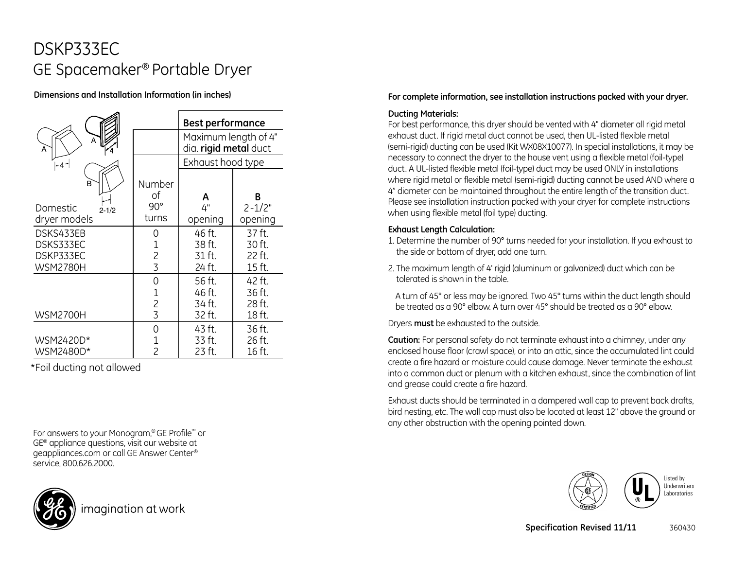# DSKP333EC GE Spacemaker® Portable Dryer

### **Dimensions and Installation Information (in inches)**

|                       |                | <b>Best performance</b>                                            |            |
|-----------------------|----------------|--------------------------------------------------------------------|------------|
| A<br>A                |                | Maximum length of 4"<br>dia. rigid metal duct<br>Exhaust hood type |            |
| -41                   |                |                                                                    |            |
| B                     | Number<br>of   | Α                                                                  | В          |
| Domestic<br>$2 - 1/2$ | $90^{\circ}$   | 4"                                                                 | $2 - 1/2"$ |
| dryer models          | turns          | opening                                                            | opening    |
| DSKS433EB             | 0              | 46 ft.                                                             | 37 ft.     |
| DSKS333EC             | 1              | 38 ft.                                                             | 30 ft.     |
| DSKP333EC             | $\frac{2}{3}$  | 31 ft.                                                             | 22 ft.     |
| <b>WSM2780H</b>       |                | 24 ft.                                                             | 15 ft.     |
|                       | 0              | 56 ft.                                                             | 42 ft.     |
|                       | $\mathbf{1}$   | 46 ft.                                                             | 36 ft.     |
|                       | $\overline{c}$ | 34 ft.                                                             | 28 ft.     |
| <b>WSM2700H</b>       | $\overline{3}$ | 32 ft.                                                             | 18 ft.     |
|                       | 0              | 43 ft.                                                             | 36 ft.     |
| WSM2420D*             | 1              | 33 ft.                                                             | 26 ft.     |
| WSM2480D*             | $\overline{c}$ | 23 ft.                                                             | 16 ft.     |

\*Foil ducting not allowed

For answers to your Monogram,® GE Profile™ or GE® appliance questions, visit our website at geappliances.com or call GE Answer Center® service, 800.626.2000.



#### Please see installation instruction packed with your dryer for complete instructions when using flexible metal (foil type) ducting.

#### **Exhaust Length Calculation:**

**Ducting Materials:**

1. Determine the number of 90° turns needed for your installation. If you exhaust to the side or bottom of dryer, add one turn.

**For complete information, see installation instructions packed with your dryer.**

For best performance, this dryer should be vented with 4" diameter all rigid metal exhaust duct. If rigid metal duct cannot be used, then UL-listed flexible metal (semi-rigid) ducting can be used (Kit WX08X10077). In special installations, it may be necessary to connect the dryer to the house vent using a flexible metal (foil-type) duct. A UL-listed flexible metal (foil-type) duct may be used ONLY in installations where rigid metal or flexible metal (semi-rigid) ducting cannot be used AND where a 4" diameter can be maintained throughout the entire length of the transition duct.

2. The maximum length of 4' rigid (aluminum or galvanized) duct which can be tolerated is shown in the table.

A turn of 45° or less may be ignored. Two 45° turns within the duct length should be treated as a 90° elbow. A turn over 45° should be treated as a 90° elbow.

Dryers **must** be exhausted to the outside.

**Caution:** For personal safety do not terminate exhaust into a chimney, under any enclosed house floor (crawl space), or into an attic, since the accumulated lint could create a fire hazard or moisture could cause damage. Never terminate the exhaust into a common duct or plenum with a kitchen exhaust, since the combination of lint and grease could create a fire hazard.

Exhaust ducts should be terminated in a dampered wall cap to prevent back drafts, bird nesting, etc. The wall cap must also be located at least 12" above the ground or any other obstruction with the opening pointed down.